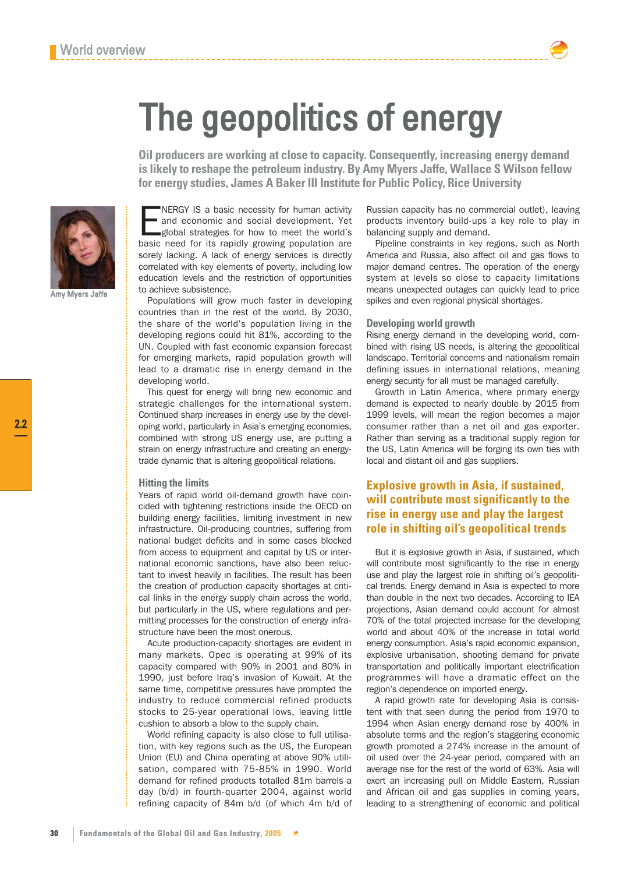Amy Myers Jaffe

NERGY IS a basic necessity for human activity<br>and economic and social development. Yet<br>global strategies for how to meet the world's<br>basic need for its rapidly growing population are NERGY IS a basic necessity for human activity and economic and social development. Yet global strategies for how to meet the world's sorely lacking. A lack of energy services is directly correlated with key elements of poverty, including low education levels and the restriction of opportunities to achieve subsistence.

Populations will grow much faster in developing countries than in the rest of the world. By 2030, the share of the world's population living in the developing regions could hit 81%, according to the UN. Coupled with fast economic expansion forecast for emerging markets, rapid population growth will lead to a dramatic rise in energy demand in the developing world.

This quest for energy will bring new economic and strategic challenges for the international system. Continued sharp increases in energy use by the developing world, particularly in Asia's emerging economies, combined with strong US energy use, are putting a strain on energy infrastructure and creating an energytrade dynamic that is altering geopolitical relations.

#### **Hitting the limits**

Years of rapid world oil-demand growth have coincided with tightening restrictions inside the OECD on building energy facilities, limiting investment in new infrastructure. Oil-producing countries, suffering from national budget deficits and in some cases blocked from access to equipment and capital by US or international economic sanctions, have also been reluctant to invest heavily in facilities. The result has been the creation of production capacity shortages at critical links in the energy supply chain across the world, but particularly in the US, where regulations and permitting processes for the construction of energy infrastructure have been the most onerous.

Acute production-capacity shortages are evident in many markets. Opec is operating at 99% of its capacity compared with 90% in 2001 and 80% in 1990, just before Iraq's invasion of Kuwait. At the same time, competitive pressures have prompted the industry to reduce commercial refined products stocks to 25-year operational lows, leaving little cushion to absorb a blow to the supply chain.

World refining capacity is also close to full utilisation, with key regions such as the US, the European Union (EU) and China operating at above 90% utilisation, compared with 75-85% in 1990. World demand for refined products totalled 81m barrels a day (b/d) in fourth-quarter 2004, against world refining capacity of 84m b/d (of which 4m b/d of Russian capacity has no commercial outlet), leaving products inventory build-ups a key role to play in balancing supply and demand.

Pipeline constraints in key regions, such as North America and Russia, also affect oil and gas flows to major demand centres. The operation of the energy system at levels so close to capacity limitations means unexpected outages can quickly lead to price spikes and even regional physical shortages.

## **Developing world growth**

**Oil producers are working at close to capacity. Consequently, increasing energy demand is likely to reshape the petroleum industry. By Amy Myers Jaffe, Wallace S Wilson fellow**

**for energy studies, James A Baker III Institute for Public Policy, Rice University**

The geopolitics of energy

Rising energy demand in the developing world, combined with rising US needs, is altering the geopolitical landscape. Territorial concerns and nationalism remain defining issues in international relations, meaning energy security for all must be managed carefully.

Growth in Latin America, where primary energy demand is expected to nearly double by 2015 from 1999 levels, will mean the region becomes a major consumer rather than a net oil and gas exporter. Rather than serving as a traditional supply region for the US, Latin America will be forging its own ties with local and distant oil and gas suppliers.

# **Explosive growth in Asia, if sustained, will contribute most significantly to the rise in energy use and play the largest role in shifting oil's geopolitical trends**

But it is explosive growth in Asia, if sustained, which will contribute most significantly to the rise in energy use and play the largest role in shifting oil's geopolitical trends. Energy demand in Asia is expected to more than double in the next two decades. According to IEA projections, Asian demand could account for almost 70% of the total projected increase for the developing world and about 40% of the increase in total world energy consumption. Asia's rapid economic expansion, explosive urbanisation, shooting demand for private transportation and politically important electrification programmes will have a dramatic effect on the region's dependence on imported energy.

A rapid growth rate for developing Asia is consistent with that seen during the period from 1970 to 1994 when Asian energy demand rose by 400% in absolute terms and the region's staggering economic growth promoted a 274% increase in the amount of oil used over the 24-year period, compared with an average rise for the rest of the world of 63%. Asia will exert an increasing pull on Middle Eastern, Russian and African oil and gas supplies in coming years, leading to a strengthening of economic and political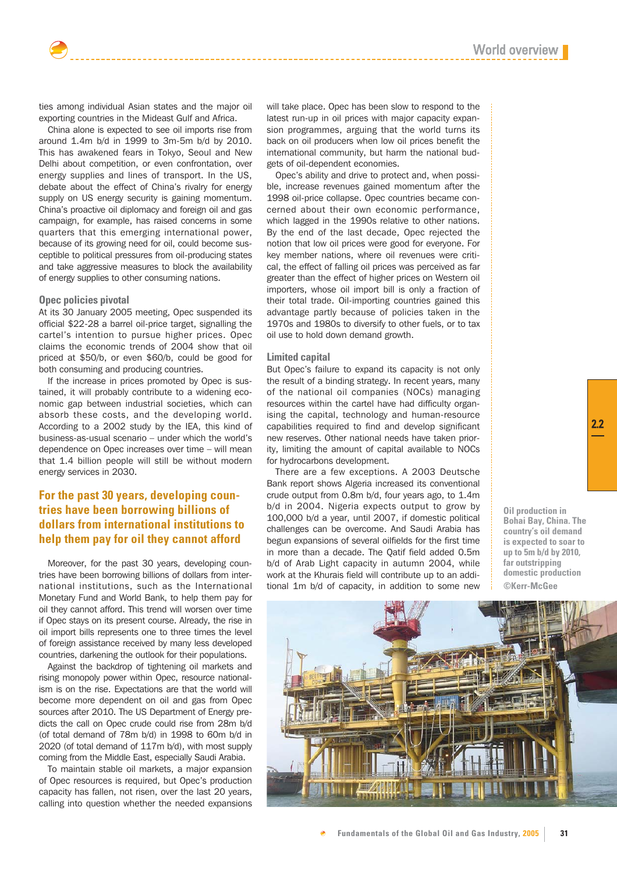ties among individual Asian states and the major oil exporting countries in the Mideast Gulf and Africa.

China alone is expected to see oil imports rise from around 1.4m b/d in 1999 to 3m-5m b/d by 2010. This has awakened fears in Tokyo, Seoul and New Delhi about competition, or even confrontation, over energy supplies and lines of transport. In the US, debate about the effect of China's rivalry for energy supply on US energy security is gaining momentum. China's proactive oil diplomacy and foreign oil and gas campaign, for example, has raised concerns in some quarters that this emerging international power, because of its growing need for oil, could become susceptible to political pressures from oil-producing states and take aggressive measures to block the availability of energy supplies to other consuming nations.

## **Opec policies pivotal**

At its 30 January 2005 meeting, Opec suspended its official \$22-28 a barrel oil-price target, signalling the cartel's intention to pursue higher prices. Opec claims the economic trends of 2004 show that oil priced at \$50/b, or even \$60/b, could be good for both consuming and producing countries.

If the increase in prices promoted by Opec is sustained, it will probably contribute to a widening economic gap between industrial societies, which can absorb these costs, and the developing world. According to a 2002 study by the IEA, this kind of business-as-usual scenario – under which the world's dependence on Opec increases over time – will mean that 1.4 billion people will still be without modern energy services in 2030.

# **For the past 30 years, developing countries have been borrowing billions of dollars from international institutions to help them pay for oil they cannot afford**

Moreover, for the past 30 years, developing countries have been borrowing billions of dollars from international institutions, such as the International Monetary Fund and World Bank, to help them pay for oil they cannot afford. This trend will worsen over time if Opec stays on its present course. Already, the rise in oil import bills represents one to three times the level of foreign assistance received by many less developed countries, darkening the outlook for their populations.

Against the backdrop of tightening oil markets and rising monopoly power within Opec, resource nationalism is on the rise. Expectations are that the world will become more dependent on oil and gas from Opec sources after 2010. The US Department of Energy predicts the call on Opec crude could rise from 28m b/d (of total demand of 78m b/d) in 1998 to 60m b/d in 2020 (of total demand of 117m b/d), with most supply coming from the Middle East, especially Saudi Arabia.

To maintain stable oil markets, a major expansion of Opec resources is required, but Opec's production capacity has fallen, not risen, over the last 20 years, calling into question whether the needed expansions

will take place. Opec has been slow to respond to the latest run-up in oil prices with major capacity expansion programmes, arguing that the world turns its back on oil producers when low oil prices benefit the international community, but harm the national budgets of oil-dependent economies.

Opec's ability and drive to protect and, when possible, increase revenues gained momentum after the 1998 oil-price collapse. Opec countries became concerned about their own economic performance, which lagged in the 1990s relative to other nations. By the end of the last decade, Opec rejected the notion that low oil prices were good for everyone. For key member nations, where oil revenues were critical, the effect of falling oil prices was perceived as far greater than the effect of higher prices on Western oil importers, whose oil import bill is only a fraction of their total trade. Oil-importing countries gained this advantage partly because of policies taken in the 1970s and 1980s to diversify to other fuels, or to tax oil use to hold down demand growth.

#### **Limited capital**

But Opec's failure to expand its capacity is not only the result of a binding strategy. In recent years, many of the national oil companies (NOCs) managing resources within the cartel have had difficulty organising the capital, technology and human-resource capabilities required to find and develop significant new reserves. Other national needs have taken priority, limiting the amount of capital available to NOCs for hydrocarbons development.

There are a few exceptions. A 2003 Deutsche Bank report shows Algeria increased its conventional crude output from 0.8m b/d, four years ago, to 1.4m b/d in 2004. Nigeria expects output to grow by 100,000 b/d a year, until 2007, if domestic political challenges can be overcome. And Saudi Arabia has begun expansions of several oilfields for the first time in more than a decade. The Qatif field added 0.5m b/d of Arab Light capacity in autumn 2004, while work at the Khurais field will contribute up to an additional 1m b/d of capacity, in addition to some new

**Oil production in Bohai Bay, China. The country's oil demand is expected to soar to up to 5m b/d by 2010, far outstripping domestic production ©Kerr-McGee**



2.2